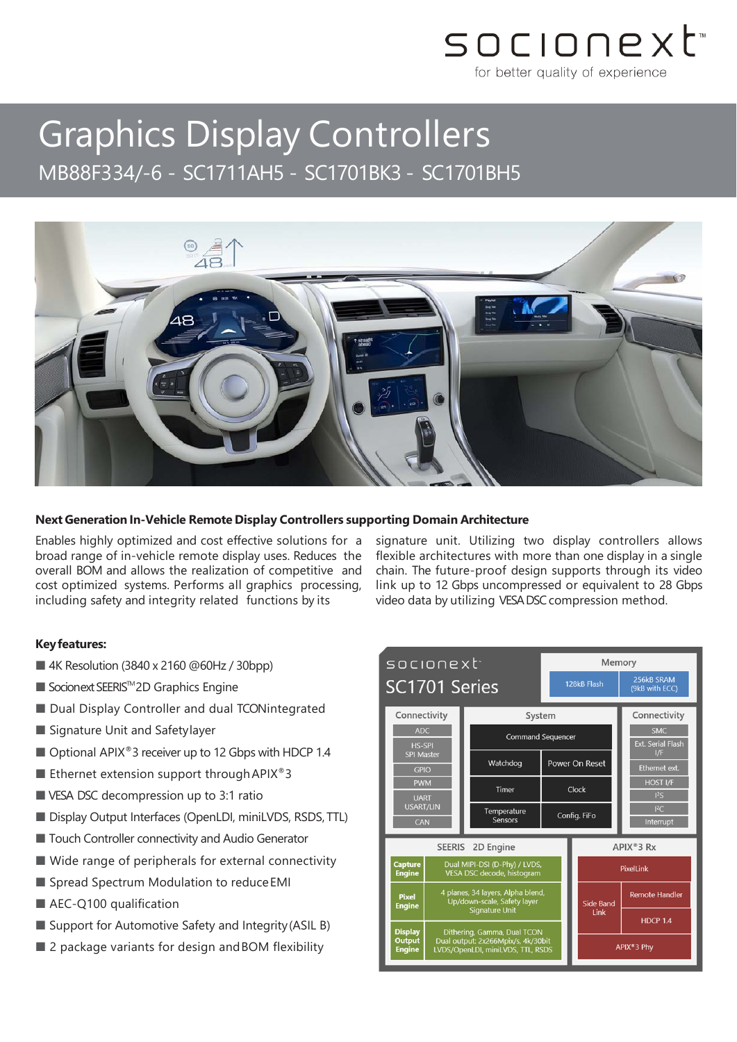## socionext for better quality of experience

# Graphics Display Controllers MB88F334/-6 - SC1711AH5 - SC1701BK3 - SC1701BH5



### **Next Generation In-Vehicle Remote Display Controllers supporting Domain Architecture**

Enables highly optimized and cost effective solutions for a broad range of in-vehicle remote display uses. Reduces the overall BOM and allows the realization of competitive and cost optimized systems. Performs all graphics processing, including safety and integrity related functions by its

#### **Keyfeatures:**

- 4K Resolution (3840 x 2160 @60Hz / 30bpp)
- Socionext SEERIS<sup>™</sup>2D Graphics Engine
- Dual Display Controller and dual TCONintegrated
- Signature Unit and Safetylayer
- Optional APIX<sup>®</sup> 3 receiver up to 12 Gbps with HDCP 1.4
- Ethernet extension support through APIX<sup>®</sup>3
- VESA DSC decompression up to 3:1 ratio
- Display Output Interfaces (OpenLDI, miniLVDS, RSDS, TTL)
- Touch Controller connectivity and Audio Generator
- Wide range of peripherals for external connectivity
- Spread Spectrum Modulation to reduce EMI
- AEC-Q100 qualification
- Support for Automotive Safety and Integrity (ASIL B)
- 2 package variants for design and BOM flexibility

signature unit. Utilizing two display controllers allows flexible architectures with more than one display in a single chain. The future-proof design supports through its video link up to 12 Gbps uncompressed or equivalent to 28 Gbps video data by utilizing VESA DSC compression method.